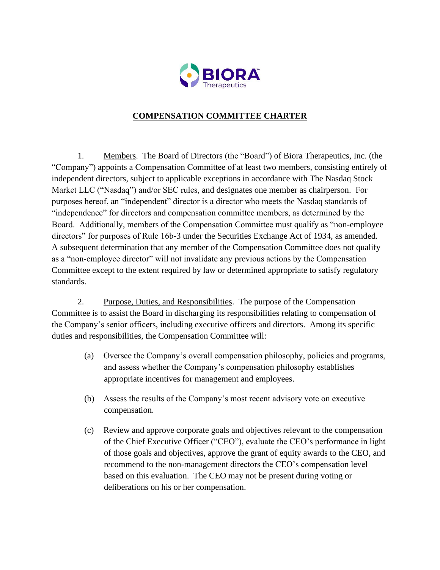

## **COMPENSATION COMMITTEE CHARTER**

1. Members. The Board of Directors (the "Board") of Biora Therapeutics, Inc. (the "Company") appoints a Compensation Committee of at least two members, consisting entirely of independent directors, subject to applicable exceptions in accordance with The Nasdaq Stock Market LLC ("Nasdaq") and/or SEC rules, and designates one member as chairperson. For purposes hereof, an "independent" director is a director who meets the Nasdaq standards of "independence" for directors and compensation committee members, as determined by the Board. Additionally, members of the Compensation Committee must qualify as "non-employee directors" for purposes of Rule 16b-3 under the Securities Exchange Act of 1934, as amended. A subsequent determination that any member of the Compensation Committee does not qualify as a "non-employee director" will not invalidate any previous actions by the Compensation Committee except to the extent required by law or determined appropriate to satisfy regulatory standards.

2. Purpose, Duties, and Responsibilities. The purpose of the Compensation Committee is to assist the Board in discharging its responsibilities relating to compensation of the Company's senior officers, including executive officers and directors. Among its specific duties and responsibilities, the Compensation Committee will:

- (a) Oversee the Company's overall compensation philosophy, policies and programs, and assess whether the Company's compensation philosophy establishes appropriate incentives for management and employees.
- (b) Assess the results of the Company's most recent advisory vote on executive compensation.
- (c) Review and approve corporate goals and objectives relevant to the compensation of the Chief Executive Officer ("CEO"), evaluate the CEO's performance in light of those goals and objectives, approve the grant of equity awards to the CEO, and recommend to the non-management directors the CEO's compensation level based on this evaluation. The CEO may not be present during voting or deliberations on his or her compensation.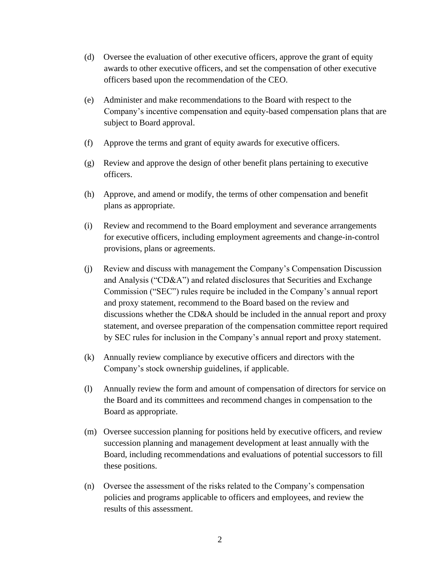- (d) Oversee the evaluation of other executive officers, approve the grant of equity awards to other executive officers, and set the compensation of other executive officers based upon the recommendation of the CEO.
- (e) Administer and make recommendations to the Board with respect to the Company's incentive compensation and equity-based compensation plans that are subject to Board approval.
- (f) Approve the terms and grant of equity awards for executive officers.
- (g) Review and approve the design of other benefit plans pertaining to executive officers.
- (h) Approve, and amend or modify, the terms of other compensation and benefit plans as appropriate.
- (i) Review and recommend to the Board employment and severance arrangements for executive officers, including employment agreements and change-in-control provisions, plans or agreements.
- (j) Review and discuss with management the Company's Compensation Discussion and Analysis ("CD&A") and related disclosures that Securities and Exchange Commission ("SEC") rules require be included in the Company's annual report and proxy statement, recommend to the Board based on the review and discussions whether the CD&A should be included in the annual report and proxy statement, and oversee preparation of the compensation committee report required by SEC rules for inclusion in the Company's annual report and proxy statement.
- (k) Annually review compliance by executive officers and directors with the Company's stock ownership guidelines, if applicable.
- (l) Annually review the form and amount of compensation of directors for service on the Board and its committees and recommend changes in compensation to the Board as appropriate.
- (m) Oversee succession planning for positions held by executive officers, and review succession planning and management development at least annually with the Board, including recommendations and evaluations of potential successors to fill these positions.
- (n) Oversee the assessment of the risks related to the Company's compensation policies and programs applicable to officers and employees, and review the results of this assessment.